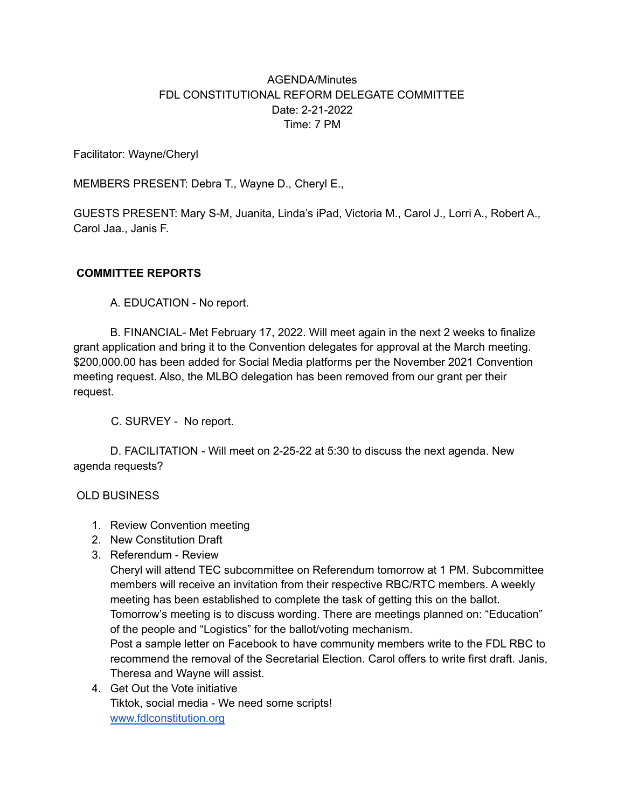## AGENDA/Minutes FDL CONSTITUTIONAL REFORM DELEGATE COMMITTEE Date: 2-21-2022 Time: 7 PM

Facilitator: Wayne/Cheryl

MEMBERS PRESENT: Debra T., Wayne D., Cheryl E.,

GUESTS PRESENT: Mary S-M, Juanita, Linda's iPad, Victoria M., Carol J., Lorri A., Robert A., Carol Jaa., Janis F.

## **COMMITTEE REPORTS**

A. EDUCATION - No report.

B. FINANCIAL- Met February 17, 2022. Will meet again in the next 2 weeks to finalize grant application and bring it to the Convention delegates for approval at the March meeting. \$200,000.00 has been added for Social Media platforms per the November 2021 Convention meeting request. Also, the MLBO delegation has been removed from our grant per their request.

C. SURVEY - No report.

D. FACILITATION - Will meet on 2-25-22 at 5:30 to discuss the next agenda. New agenda requests?

## OLD BUSINESS

- 1. Review Convention meeting
- 2. New Constitution Draft
- 3. Referendum Review

Cheryl will attend TEC subcommittee on Referendum tomorrow at 1 PM. Subcommittee members will receive an invitation from their respective RBC/RTC members. A weekly meeting has been established to complete the task of getting this on the ballot. Tomorrow's meeting is to discuss wording. There are meetings planned on: "Education" of the people and "Logistics" for the ballot/voting mechanism.

Post a sample letter on Facebook to have community members write to the FDL RBC to recommend the removal of the Secretarial Election. Carol offers to write first draft. Janis, Theresa and Wayne will assist.

4. Get Out the Vote initiative Tiktok, social media - We need some scripts! [www.fdlconstitution.org](http://www.fdlconstitution.org)